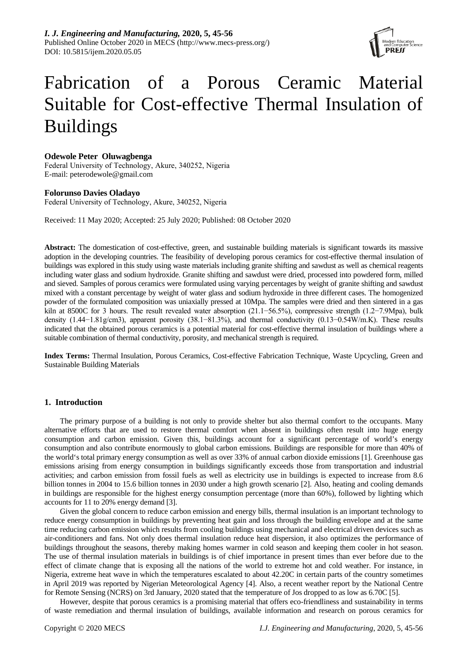

# Fabrication of a Porous Ceramic Material Suitable for Cost-effective Thermal Insulation of Buildings

# **Odewole Peter Oluwagbenga**

Federal University of Technology, Akure, 340252, Nigeria E-mail: peterodewole@gmail.com

# **Folorunso Davies Oladayo**

Federal University of Technology, Akure, 340252, Nigeria

Received: 11 May 2020; Accepted: 25 July 2020; Published: 08 October 2020

**Abstract:** The domestication of cost-effective, green, and sustainable building materials is significant towards its massive adoption in the developing countries. The feasibility of developing porous ceramics for cost-effective thermal insulation of buildings was explored in this study using waste materials including granite shifting and sawdust as well as chemical reagents including water glass and sodium hydroxide. Granite shifting and sawdust were dried, processed into powdered form, milled and sieved. Samples of porous ceramics were formulated using varying percentages by weight of granite shifting and sawdust mixed with a constant percentage by weight of water glass and sodium hydroxide in three different cases. The homogenized powder of the formulated composition was uniaxially pressed at 10Mpa. The samples were dried and then sintered in a gas kiln at 8500C for 3 hours. The result revealed water absorption (21.1−56.5%), compressive strength (1.2−7.9Mpa), bulk density (1.44−1.81g/cm3), apparent porosity (38.1−81.3%), and thermal conductivity (0.13−0.54W/m.K). These results indicated that the obtained porous ceramics is a potential material for cost-effective thermal insulation of buildings where a suitable combination of thermal conductivity, porosity, and mechanical strength is required.

**Index Terms:** Thermal Insulation, Porous Ceramics, Cost-effective Fabrication Technique, Waste Upcycling, Green and Sustainable Building Materials

# **1. Introduction**

The primary purpose of a building is not only to provide shelter but also thermal comfort to the occupants. Many alternative efforts that are used to restore thermal comfort when absent in buildings often result into huge energy consumption and carbon emission. Given this, buildings account for a significant percentage of world's energy consumption and also contribute enormously to global carbon emissions. Buildings are responsible for more than 40% of the world's total primary energy consumption as well as over 33% of annual carbon dioxide emissions [1]. Greenhouse gas emissions arising from energy consumption in buildings significantly exceeds those from transportation and industrial activities; and carbon emission from fossil fuels as well as electricity use in buildings is expected to increase from 8.6 billion tonnes in 2004 to 15.6 billion tonnes in 2030 under a high growth scenario [2]. Also, heating and cooling demands in buildings are responsible for the highest energy consumption percentage (more than 60%), followed by lighting which accounts for 11 to 20% energy demand [3].

Given the global concern to reduce carbon emission and energy bills, thermal insulation is an important technology to reduce energy consumption in buildings by preventing heat gain and loss through the building envelope and at the same time reducing carbon emission which results from cooling buildings using mechanical and electrical driven devices such as air-conditioners and fans. Not only does thermal insulation reduce heat dispersion, it also optimizes the performance of buildings throughout the seasons, thereby making homes warmer in cold season and keeping them cooler in hot season. The use of thermal insulation materials in buildings is of chief importance in present times than ever before due to the effect of climate change that is exposing all the nations of the world to extreme hot and cold weather. For instance, in Nigeria, extreme heat wave in which the temperatures escalated to about 42.20C in certain parts of the country sometimes in April 2019 was reported by Nigerian Meteorological Agency [4]. Also, a recent weather report by the National Centre for Remote Sensing (NCRS) on 3rd January, 2020 stated that the temperature of Jos dropped to as low as 6.70C [5].

However, despite that porous ceramics is a promising material that offers eco-friendliness and sustainability in terms of waste remediation and thermal insulation of buildings, available information and research on porous ceramics for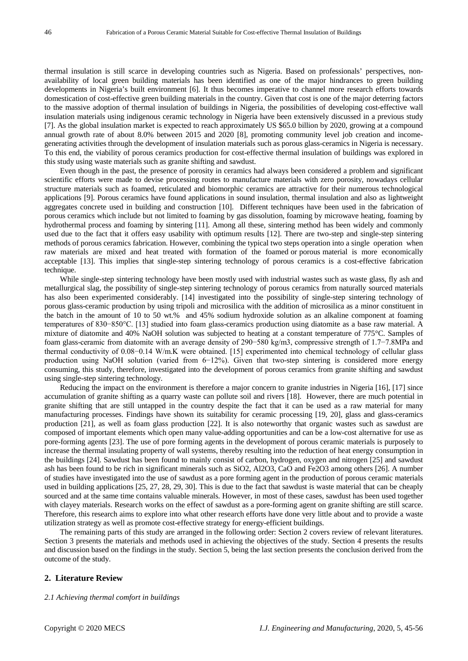thermal insulation is still scarce in developing countries such as Nigeria. Based on professionals' perspectives, nonavailability of local green building materials has been identified as one of the major hindrances to green building developments in Nigeria's built environment [6]. It thus becomes imperative to channel more research efforts towards domestication of cost-effective green building materials in the country. Given that cost is one of the major deterring factors to the massive adoption of thermal insulation of buildings in Nigeria, the possibilities of developing cost-effective wall insulation materials using indigenous ceramic technology in Nigeria have been extensively discussed in a previous study [7]. As the global insulation market is expected to reach approximately US \$65.0 billion by 2020, growing at a compound annual growth rate of about 8.0% between 2015 and 2020 [8], promoting community level job creation and incomegenerating activities through the development of insulation materials such as porous glass-ceramics in Nigeria is necessary. To this end, the viability of porous ceramics production for cost-effective thermal insulation of buildings was explored in this study using waste materials such as granite shifting and sawdust.

Even though in the past, the presence of porosity in ceramics had always been considered a problem and significant scientific efforts were made to devise processing routes to manufacture materials with zero porosity, nowadays cellular structure materials such as foamed, reticulated and biomorphic ceramics are attractive for their numerous technological applications [9]. Porous ceramics have found applications in sound insulation, thermal insulation and also as lightweight aggregates concrete used in building and construction [10]. Different techniques have been used in the fabrication of porous ceramics which include but not limited to foaming by gas dissolution, foaming by microwave heating, foaming by hydrothermal process and foaming by sintering [11]. Among all these, sintering method has been widely and commonly used due to the fact that it offers easy usability with optimum results [12]. There are two-step and single-step sintering methods of porous ceramics fabrication. However, combining the typical two steps operation into a single operation when raw materials are mixed and heat treated with formation of the foamed or porous material is more economically acceptable [13]. This implies that single-step sintering technology of porous ceramics is a cost-effective fabrication technique.

While single-step sintering technology have been mostly used with industrial wastes such as waste glass, fly ash and metallurgical slag, the possibility of single-step sintering technology of porous ceramics from naturally sourced materials has also been experimented considerably. [14] investigated into the possibility of single-step sintering technology of porous glass-ceramic production by using tripoli and microsilica with the addition of microsilica as a minor constituent in the batch in the amount of 10 to 50 wt.% and 45% sodium hydroxide solution as an alkaline component at foaming temperatures of 830−850°C. [13] studied into foam glass-ceramics production using diatomite as a base raw material. A mixture of diatomite and 40% NaOH solution was subjected to heating at a constant temperature of 775°C. Samples of foam glass-ceramic from diatomite with an average density of 290−580 kg/m3, compressive strength of 1.7−7.8MPa and thermal conductivity of 0.08−0.14 W/m.K were obtained. [15] experimented into chemical technology of cellular glass production using NaOH solution (varied from 6−12%). Given that two-step sintering is considered more energy consuming, this study, therefore, investigated into the development of porous ceramics from granite shifting and sawdust using single-step sintering technology.

Reducing the impact on the environment is therefore a major concern to granite industries in Nigeria [16], [17] since accumulation of granite shifting as a quarry waste can pollute soil and rivers [18]. However, there are much potential in granite shifting that are still untapped in the country despite the fact that it can be used as a raw material for many manufacturing processes. Findings have shown its suitability for ceramic processing [19, 20], glass and glass-ceramics production [21], as well as foam glass production [22]. It is also noteworthy that organic wastes such as sawdust are composed of important elements which open many value-adding opportunities and can be a low-cost alternative for use as pore-forming agents [23]. The use of pore forming agents in the development of porous ceramic materials is purposely to increase the thermal insulating property of wall systems, thereby resulting into the reduction of heat energy consumption in the buildings [24]. Sawdust has been found to mainly consist of carbon, hydrogen, oxygen and nitrogen [25] and sawdust ash has been found to be rich in significant minerals such as SiO2, Al2O3, CaO and Fe2O3 among others [26]. A number of studies have investigated into the use of sawdust as a pore forming agent in the production of porous ceramic materials used in building applications [25, 27, 28, 29, 30]. This is due to the fact that sawdust is waste material that can be cheaply sourced and at the same time contains valuable minerals. However, in most of these cases, sawdust has been used together with clayey materials. Research works on the effect of sawdust as a pore-forming agent on granite shifting are still scarce. Therefore, this research aims to explore into what other research efforts have done very little about and to provide a waste utilization strategy as well as promote cost-effective strategy for energy-efficient buildings.

The remaining parts of this study are arranged in the following order: Section 2 covers review of relevant literatures. Section 3 presents the materials and methods used in achieving the objectives of the study. Section 4 presents the results and discussion based on the findings in the study. Section 5, being the last section presents the conclusion derived from the outcome of the study.

#### **2. Literature Review**

#### *2.1 Achieving thermal comfort in buildings*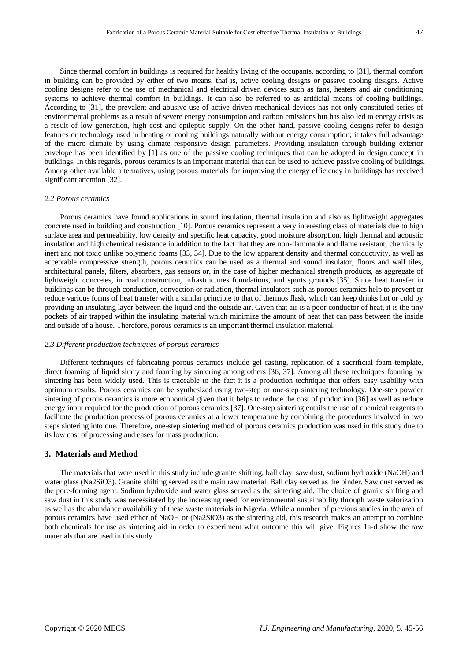Since thermal comfort in buildings is required for healthy living of the occupants, according to [31], thermal comfort in building can be provided by either of two means, that is, active cooling designs or passive cooling designs. Active cooling designs refer to the use of mechanical and electrical driven devices such as fans, heaters and air conditioning systems to achieve thermal comfort in buildings. It can also be referred to as artificial means of cooling buildings. According to [31], the prevalent and abusive use of active driven mechanical devices has not only constituted series of environmental problems as a result of severe energy consumption and carbon emissions but has also led to energy crisis as a result of low generation, high cost and epileptic supply. On the other hand, passive cooling designs refer to design features or technology used in heating or cooling buildings naturally without energy consumption; it takes full advantage of the micro climate by using climate responsive design parameters. Providing insulation through building exterior envelope has been identified by [1] as one of the passive cooling techniques that can be adopted in design concept in buildings. In this regards, porous ceramics is an important material that can be used to achieve passive cooling of buildings. Among other available alternatives, using porous materials for improving the energy efficiency in buildings has received significant attention [32].

### *2.2 Porous ceramics*

Porous ceramics have found applications in sound insulation, thermal insulation and also as lightweight aggregates concrete used in building and construction [10]. Porous ceramics represent a very interesting class of materials due to high surface area and permeability, low density and specific heat capacity, good moisture absorption, high thermal and acoustic insulation and high chemical resistance in addition to the fact that they are non-flammable and flame resistant, chemically inert and not toxic unlike polymeric foams [33, 34]. Due to the low apparent density and thermal conductivity, as well as acceptable compressive strength, porous ceramics can be used as a thermal and sound insulator, floors and wall tiles, architectural panels, filters, absorbers, gas sensors or, in the case of higher mechanical strength products, as aggregate of lightweight concretes, in road construction, infrastructures foundations, and sports grounds [35]. Since heat transfer in buildings can be through conduction, convection or radiation, thermal insulators such as porous ceramics help to prevent or reduce various forms of heat transfer with a similar principle to that of thermos flask, which can keep drinks hot or cold by providing an insulating layer between the liquid and the outside air. Given that air is a poor conductor of heat, it is the tiny pockets of air trapped within the insulating material which minimize the amount of heat that can pass between the inside and outside of a house. Therefore, porous ceramics is an important thermal insulation material.

#### *2.3 Different production techniques of porous ceramics*

Different techniques of fabricating porous ceramics include gel casting, replication of a sacrificial foam template, direct foaming of liquid slurry and foaming by sintering among others [36, 37]. Among all these techniques foaming by sintering has been widely used. This is traceable to the fact it is a production technique that offers easy usability with optimum results. Porous ceramics can be synthesized using two-step or one-step sintering technology. One-step powder sintering of porous ceramics is more economical given that it helps to reduce the cost of production [36] as well as reduce energy input required for the production of porous ceramics [37]. One-step sintering entails the use of chemical reagents to facilitate the production process of porous ceramics at a lower temperature by combining the procedures involved in two steps sintering into one. Therefore, one-step sintering method of porous ceramics production was used in this study due to its low cost of processing and eases for mass production.

# **3. Materials and Method**

The materials that were used in this study include granite shifting, ball clay, saw dust, sodium hydroxide (NaOH) and water glass (Na2SiO3). Granite shifting served as the main raw material. Ball clay served as the binder. Saw dust served as the pore-forming agent. Sodium hydroxide and water glass served as the sintering aid. The choice of granite shifting and saw dust in this study was necessitated by the increasing need for environmental sustainability through waste valorization as well as the abundance availability of these waste materials in Nigeria. While a number of previous studies in the area of porous ceramics have used either of NaOH or (Na2SiO3) as the sintering aid, this research makes an attempt to combine both chemicals for use as sintering aid in order to experiment what outcome this will give. Figures 1a-d show the raw materials that are used in this study.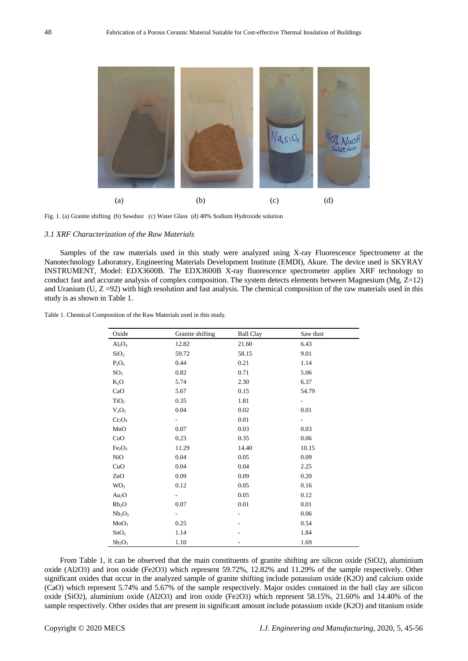

Fig. 1. (a) Granite shifting (b) Sawdust (c) Water Glass (d) 40% Sodium Hydroxide solution

### *3.1 XRF Characterization of the Raw Materials*

Samples of the raw materials used in this study were analyzed using X-ray Fluorescence Spectrometer at the Nanotechnology Laboratory, Engineering Materials Development Institute (EMDI), Akure. The device used is SKYRAY INSTRUMENT, Model: EDX3600B. The EDX3600B X-ray fluorescence spectrometer applies XRF technology to conduct fast and accurate analysis of complex composition. The system detects elements between Magnesium ( $Mg$ ,  $Z=12$ ) and Uranium ( $U$ ,  $Z = 92$ ) with high resolution and fast analysis. The chemical composition of the raw materials used in this study is as shown in Table 1.

| Table 1. Chemical Composition of the Raw Materials used in this study. |  |
|------------------------------------------------------------------------|--|
|------------------------------------------------------------------------|--|

| Oxide                          | Granite shifting         | <b>Ball Clay</b> | Saw dust                 |
|--------------------------------|--------------------------|------------------|--------------------------|
| $Al_2O_3$                      | 12.82                    | 21.60            | 6.43                     |
| SiO <sub>2</sub>               | 59.72                    | 58.15            | 9.01                     |
| $P_2O_5$                       | 0.44                     | 0.21             | 1.14                     |
| SO <sub>3</sub>                | 0.82                     | 0.71             | 5.06                     |
| $K_2O$                         | 5.74                     | 2.30             | 6.37                     |
| CaO                            | 5.67                     | 0.15             | 54.79                    |
| TiO <sub>2</sub>               | 0.35                     | 1.81             | -                        |
| $V_2O_5$                       | 0.04                     | 0.02             | 0.01                     |
| $Cr_2O_3$                      | ÷,                       | 0.01             | $\overline{\phantom{0}}$ |
| MnO                            | 0.07                     | 0.03             | 0.03                     |
| CoO                            | 0.23                     | 0.35             | 0.06                     |
| Fe <sub>2</sub> O <sub>3</sub> | 11.29                    | 14.40            | 10.15                    |
| NiO                            | 0.04                     | 0.05             | 0.09                     |
| CuO                            | 0.04                     | 0.04             | 2.25                     |
| ZnO                            | 0.09                     | 0.09             | 0.20                     |
| WO <sub>3</sub>                | 0.12                     | 0.05             | 0.16                     |
| Au <sub>2</sub> O              | $\overline{\phantom{a}}$ | 0.05             | 0.12                     |
| Rb <sub>2</sub> O              | 0.07                     | 0.01             | 0.01                     |
| Nb <sub>2</sub> O <sub>5</sub> | $\overline{\phantom{0}}$ | $\overline{a}$   | 0.06                     |
| MoO <sub>3</sub>               | 0.25                     |                  | 0.54                     |
| SnO <sub>2</sub>               | 1.14                     |                  | 1.84                     |
| $Sb_2O_3$                      | 1.10                     |                  | 1.69                     |

From Table 1, it can be observed that the main constituents of granite shifting are silicon oxide (SiO2), aluminium oxide (Al2O3) and iron oxide (Fe2O3) which represent 59.72%, 12.82% and 11.29% of the sample respectively. Other significant oxides that occur in the analyzed sample of granite shifting include potassium oxide (K2O) and calcium oxide (CaO) which represent 5.74% and 5.67% of the sample respectively. Major oxides contained in the ball clay are silicon oxide (SiO2), aluminium oxide (Al2O3) and iron oxide (Fe2O3) which represent 58.15%, 21.60% and 14.40% of the sample respectively. Other oxides that are present in significant amount include potassium oxide (K2O) and titanium oxide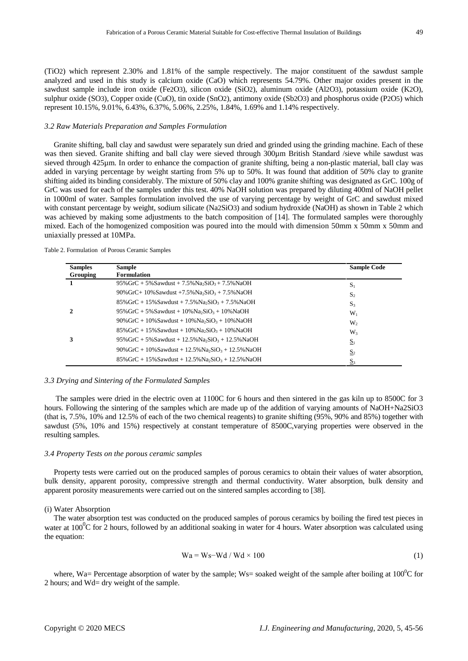(TiO2) which represent 2.30% and 1.81% of the sample respectively. The major constituent of the sawdust sample analyzed and used in this study is calcium oxide (CaO) which represents 54.79%. Other major oxides present in the sawdust sample include iron oxide (Fe2O3), silicon oxide (SiO2), aluminum oxide (Al2O3), potassium oxide (K2O), sulphur oxide (SO3), Copper oxide (CuO), tin oxide (SnO2), antimony oxide (Sb2O3) and phosphorus oxide (P2O5) which represent 10.15%, 9.01%, 6.43%, 6.37%, 5.06%, 2.25%, 1.84%, 1.69% and 1.14% respectively.

#### *3.2 Raw Materials Preparation and Samples Formulation*

Granite shifting, ball clay and sawdust were separately sun dried and grinded using the grinding machine. Each of these was then sieved. Granite shifting and ball clay were sieved through 300µm British Standard /sieve while sawdust was sieved through 425µm. In order to enhance the compaction of granite shifting, being a non-plastic material, ball clay was added in varying percentage by weight starting from 5% up to 50%. It was found that addition of 50% clay to granite shifting aided its binding considerably. The mixture of 50% clay and 100% granite shifting was designated as GrC. 100g of GrC was used for each of the samples under this test. 40% NaOH solution was prepared by diluting 400ml of NaOH pellet in 1000ml of water. Samples formulation involved the use of varying percentage by weight of GrC and sawdust mixed with constant percentage by weight, sodium silicate (Na2SiO3) and sodium hydroxide (NaOH) as shown in Table 2 which was achieved by making some adjustments to the batch composition of [14]. The formulated samples were thoroughly mixed. Each of the homogenized composition was poured into the mould with dimension 50mm x 50mm x 50mm and uniaxially pressed at 10MPa.

| <b>Samples</b>  | <b>Sample</b>                                                                  | <b>Sample Code</b> |
|-----------------|--------------------------------------------------------------------------------|--------------------|
| <b>Grouping</b> | <b>Formulation</b>                                                             |                    |
|                 | $95\%$ GrC + 5% Sawdust + 7.5% Na <sub>2</sub> SiO <sub>3</sub> + 7.5% NaOH    | $S_1$              |
|                 | $90\%$ GrC+ 10% Sawdust +7.5% Na <sub>2</sub> SiO <sub>3</sub> + 7.5% NaOH     | $S_2$              |
|                 | $85\%$ GrC + 15% Sawdust + 7.5% Na <sub>2</sub> SiO <sub>3</sub> + 7.5% NaOH   | $S_3$              |
|                 | $95\%$ GrC + 5% Sawdust + 10% Na <sub>2</sub> SiO <sub>3</sub> + 10% NaOH      | $W_1$              |
|                 | $90\%$ GrC + 10% Sawdust + 10% Na <sub>2</sub> SiO <sub>3</sub> + 10% NaOH     | W,                 |
|                 | $85\%$ GrC + 15% Sawdust + 10% Na <sub>2</sub> SiO <sub>3</sub> + 10% NaOH     | W3                 |
|                 | $95\%$ GrC + 5% Sawdust + 12.5% Na <sub>2</sub> SiO <sub>3</sub> + 12.5% NaOH  | $S_1$              |
|                 | $90\%$ GrC + 10% Sawdust + 12.5% Na <sub>2</sub> SiO <sub>3</sub> + 12.5% NaOH | S <sub>2</sub>     |
|                 | $85\%$ GrC + 15% Sawdust + 12.5% Na <sub>2</sub> SiO <sub>3</sub> + 12.5% NaOH | $S_3$              |

Table 2. Formulation of Porous Ceramic Samples

#### *3.3 Drying and Sintering of the Formulated Samples*

The samples were dried in the electric oven at 1100C for 6 hours and then sintered in the gas kiln up to 8500C for 3 hours. Following the sintering of the samples which are made up of the addition of varying amounts of NaOH+Na2SiO3 (that is, 7.5%, 10% and 12.5% of each of the two chemical reagents) to granite shifting (95%, 90% and 85%) together with sawdust (5%, 10% and 15%) respectively at constant temperature of 8500C, varying properties were observed in the resulting samples.

#### *3.4 Property Tests on the porous ceramic samples*

Property tests were carried out on the produced samples of porous ceramics to obtain their values of water absorption, bulk density, apparent porosity, compressive strength and thermal conductivity. Water absorption, bulk density and apparent porosity measurements were carried out on the sintered samples according to [38].

#### (i) Water Absorption

The water absorption test was conducted on the produced samples of porous ceramics by boiling the fired test pieces in water at  $100^0C$  for 2 hours, followed by an additional soaking in water for 4 hours. Water absorption was calculated using the equation:

$$
Wa = Ws-Wd / Wd \times 100
$$
 (1)

where, Wa= Percentage absorption of water by the sample; Ws= soaked weight of the sample after boiling at  $100^{\circ}$ C for 2 hours; and Wd= dry weight of the sample.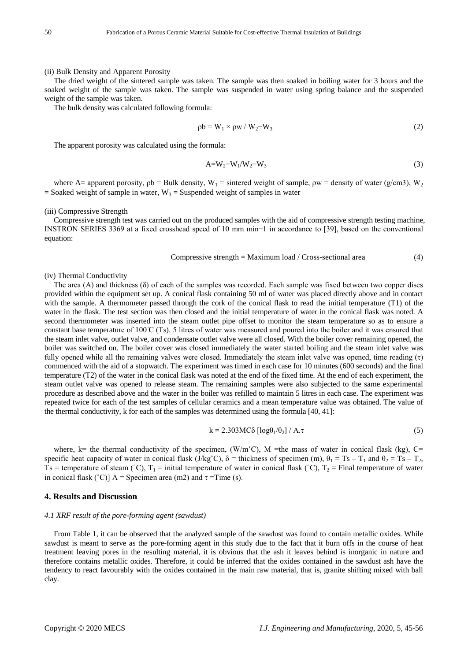#### (ii) Bulk Density and Apparent Porosity

The dried weight of the sintered sample was taken. The sample was then soaked in boiling water for 3 hours and the soaked weight of the sample was taken. The sample was suspended in water using spring balance and the suspended weight of the sample was taken.

The bulk density was calculated following formula:

$$
\rho b = W_1 \times \rho w / W_2 - W_3 \tag{2}
$$

The apparent porosity was calculated using the formula:

$$
A=W_2-W_1/W_2-W_3 \tag{3}
$$

where A= apparent porosity,  $pb =$  Bulk density,  $W_1$  = sintered weight of sample,  $\rho w =$  density of water (g/cm3),  $W_2$  $=$  Soaked weight of sample in water,  $W_3 =$  Suspended weight of samples in water

#### (iii) Compressive Strength

Compressive strength test was carried out on the produced samples with the aid of compressive strength testing machine, INSTRON SERIES 3369 at a fixed crosshead speed of 10 mm min−1 in accordance to [39], based on the conventional equation:

Compressive strength = Maximum load / Cross-sectional area 
$$
(4)
$$

#### (iv) Thermal Conductivity

The area  $(A)$  and thickness  $(\delta)$  of each of the samples was recorded. Each sample was fixed between two copper discs provided within the equipment set up. A conical flask containing 50 ml of water was placed directly above and in contact with the sample. A thermometer passed through the cork of the conical flask to read the initial temperature (T1) of the water in the flask. The test section was then closed and the initial temperature of water in the conical flask was noted. A second thermometer was inserted into the steam outlet pipe offset to monitor the steam temperature so as to ensure a constant base temperature of  $100\degree C$  (Ts). 5 litres of water was measured and poured into the boiler and it was ensured that the steam inlet valve, outlet valve, and condensate outlet valve were all closed. With the boiler cover remaining opened, the boiler was switched on. The boiler cover was closed immediately the water started boiling and the steam inlet valve was fully opened while all the remaining valves were closed. Immediately the steam inlet valve was opened, time reading  $(\tau)$ commenced with the aid of a stopwatch. The experiment was timed in each case for 10 minutes (600 seconds) and the final temperature (T2) of the water in the conical flask was noted at the end of the fixed time. At the end of each experiment, the steam outlet valve was opened to release steam. The remaining samples were also subjected to the same experimental procedure as described above and the water in the boiler was refilled to maintain 5 litres in each case. The experiment was repeated twice for each of the test samples of cellular ceramics and a mean temperature value was obtained. The value of the thermal conductivity, k for each of the samples was determined using the formula [40, 41]:

$$
k = 2.303MC\delta \left[ \log \theta_1 / \theta_2 \right] / A.\tau
$$
 (5)

where, k= the thermal conductivity of the specimen,  $(W/m^{\circ}C)$ , M =the mass of water in conical flask (kg), C= specific heat capacity of water in conical flask (J/kg<sup>°</sup>C),  $\delta$  = thickness of specimen (m),  $\theta_1 = Ts - T_1$  and  $\theta_2 = Ts - T_2$ , Ts = temperature of steam (°C),  $T_1$  = initial temperature of water in conical flask (°C),  $T_2$  = Final temperature of water in conical flask (°C)] A = Specimen area (m2) and  $\tau$  = Time (s).

### **4. Results and Discussion**

#### *4.1 XRF result of the pore-forming agent (sawdust)*

From Table 1, it can be observed that the analyzed sample of the sawdust was found to contain metallic oxides. While sawdust is meant to serve as the pore-forming agent in this study due to the fact that it burn offs in the course of heat treatment leaving pores in the resulting material, it is obvious that the ash it leaves behind is inorganic in nature and therefore contains metallic oxides. Therefore, it could be inferred that the oxides contained in the sawdust ash have the tendency to react favourably with the oxides contained in the main raw material, that is, granite shifting mixed with ball clay.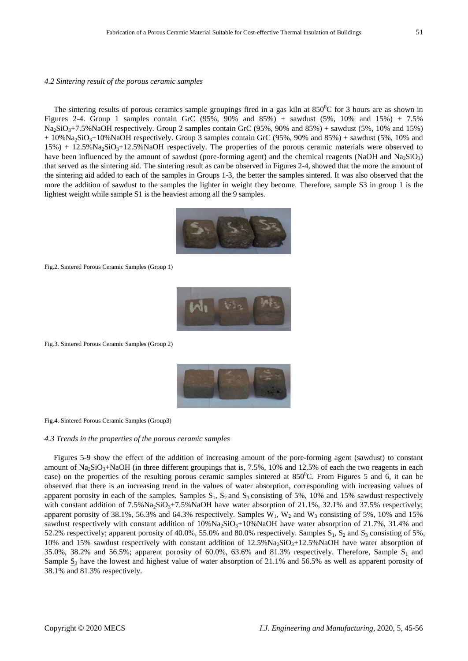#### *4.2 Sintering result of the porous ceramic samples*

The sintering results of porous ceramics sample groupings fired in a gas kiln at  $850^{\circ}$ C for 3 hours are as shown in Figures 2-4. Group 1 samples contain GrC (95%, 90% and 85%) + sawdust (5%, 10% and 15%) + 7.5%  $Na_2SiO_3+7.5\%NaOH$  respectively. Group 2 samples contain GrC (95%, 90% and 85%) + sawdust (5%, 10% and 15%)  $+ 10\%$ Na<sub>2</sub>SiO<sub>3</sub>+10%NaOH respectively. Group 3 samples contain GrC (95%, 90% and 85%) + sawdust (5%, 10% and  $15\%$ ) +  $12.5\%$ Na<sub>2</sub>SiO<sub>3</sub>+12.5%NaOH respectively. The properties of the porous ceramic materials were observed to have been influenced by the amount of sawdust (pore-forming agent) and the chemical reagents (NaOH and Na<sub>2</sub>SiO<sub>3</sub>) that served as the sintering aid. The sintering result as can be observed in Figures 2-4, showed that the more the amount of the sintering aid added to each of the samples in Groups 1-3, the better the samples sintered. It was also observed that the more the addition of sawdust to the samples the lighter in weight they become. Therefore, sample S3 in group 1 is the lightest weight while sample S1 is the heaviest among all the 9 samples.



Fig.2. Sintered Porous Ceramic Samples (Group 1)



Fig.3. Sintered Porous Ceramic Samples (Group 2)



Fig.4. Sintered Porous Ceramic Samples (Group3)

#### *4.3 Trends in the properties of the porous ceramic samples*

Figures 5-9 show the effect of the addition of increasing amount of the pore-forming agent (sawdust) to constant amount of  $Na<sub>2</sub>SiO<sub>3</sub>+NaOH$  (in three different groupings that is, 7.5%, 10% and 12.5% of each the two reagents in each case) on the properties of the resulting porous ceramic samples sintered at  $850^{\circ}$ C. From Figures 5 and 6, it can be observed that there is an increasing trend in the values of water absorption, corresponding with increasing values of apparent porosity in each of the samples. Samples  $S_1$ ,  $S_2$  and  $S_3$  consisting of 5%, 10% and 15% sawdust respectively with constant addition of  $7.5\%$ Na<sub>2</sub>SiO<sub>3</sub>+7.5%NaOH have water absorption of 21.1%, 32.1% and 37.5% respectively; apparent porosity of 38.1%, 56.3% and 64.3% respectively. Samples  $W_1$ ,  $W_2$  and  $W_3$  consisting of 5%, 10% and 15% sawdust respectively with constant addition of  $10\%Na_2SiO<sub>3</sub>+10\%NaOH$  have water absorption of  $21.7\%$ ,  $31.4\%$  and 52.2% respectively; apparent porosity of 40.0%, 55.0% and 80.0% respectively. Samples  $S_1$ ,  $S_2$  and  $S_3$  consisting of 5%, 10% and 15% sawdust respectively with constant addition of  $12.5\%Na_2SiO<sub>3</sub>+12.5\%NaOH$  have water absorption of 35.0%, 38.2% and 56.5%; apparent porosity of 60.0%, 63.6% and 81.3% respectively. Therefore, Sample  $S_1$  and Sample  $S_3$  have the lowest and highest value of water absorption of 21.1% and 56.5% as well as apparent porosity of 38.1% and 81.3% respectively.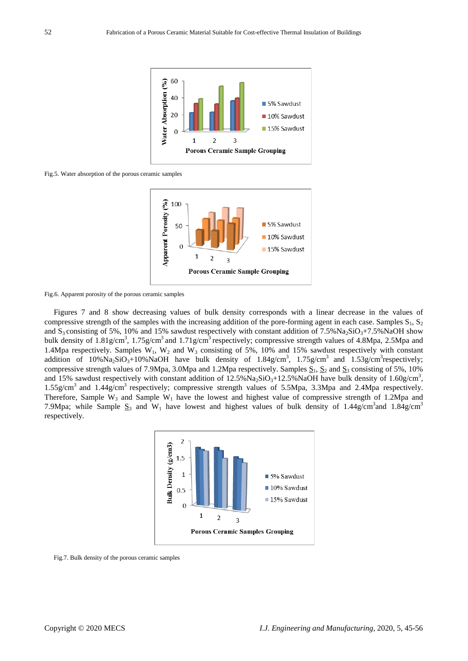

Fig.5. Water absorption of the porous ceramic samples



Fig.6. Apparent porosity of the porous ceramic samples

Figures 7 and 8 show decreasing values of bulk density corresponds with a linear decrease in the values of compressive strength of the samples with the increasing addition of the pore-forming agent in each case. Samples  $S_1$ ,  $S_2$ and  $S_3$  consisting of 5%, 10% and 15% sawdust respectively with constant addition of 7.5%Na<sub>2</sub>SiO<sub>3</sub>+7.5%NaOH show bulk density of 1.81g/cm<sup>3</sup>, 1.75g/cm<sup>3</sup> and 1.71g/cm<sup>3</sup> respectively; compressive strength values of 4.8Mpa, 2.5Mpa and 1.4Mpa respectively. Samples  $W_1$ ,  $W_2$  and  $W_3$  consisting of 5%, 10% and 15% sawdust respectively with constant addition of  $10\%$ Na<sub>2</sub>SiO<sub>3</sub>+10%NaOH have bulk density of  $1.84$ g/cm<sup>3</sup>,  $1.75$ g/cm<sup>3</sup> and  $1.53$ g/cm<sup>3</sup>respectively; compressive strength values of 7.9Mpa, 3.0Mpa and 1.2Mpa respectively. Samples  $S_1$ ,  $S_2$  and  $S_3$  consisting of 5%, 10% and 15% sawdust respectively with constant addition of  $12.5\%$ Na<sub>2</sub>SiO<sub>3</sub>+12.5%NaOH have bulk density of 1.60g/cm<sup>3</sup>, 1.55g/cm3 and 1.44g/cm3 respectively; compressive strength values of 5.5Mpa, 3.3Mpa and 2.4Mpa respectively. Therefore, Sample W<sub>3</sub> and Sample W<sub>1</sub> have the lowest and highest value of compressive strength of 1.2Mpa and 7.9Mpa; while Sample  $S_3$  and W<sub>1</sub> have lowest and highest values of bulk density of 1.44g/cm<sup>3</sup> and 1.84g/cm<sup>3</sup> respectively.



Fig.7. Bulk density of the porous ceramic samples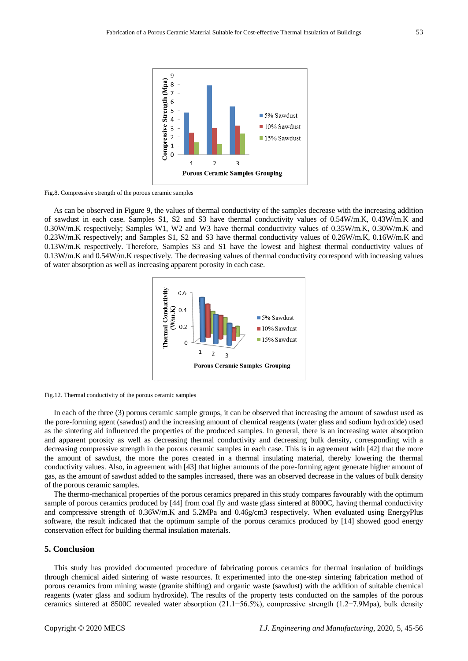

Fig.8. Compressive strength of the porous ceramic samples

As can be observed in Figure 9, the values of thermal conductivity of the samples decrease with the increasing addition of sawdust in each case. Samples S1, S2 and S3 have thermal conductivity values of 0.54W/m.K, 0.43W/m.K and 0.30W/m.K respectively; Samples W1, W2 and W3 have thermal conductivity values of 0.35W/m.K, 0.30W/m.K and 0.23W/m.K respectively; and Samples S1, S2 and S3 have thermal conductivity values of 0.26W/m.K, 0.16W/m.K and 0.13W/m.K respectively. Therefore, Samples S3 and S1 have the lowest and highest thermal conductivity values of 0.13W/m.K and 0.54W/m.K respectively. The decreasing values of thermal conductivity correspond with increasing values of water absorption as well as increasing apparent porosity in each case.





In each of the three (3) porous ceramic sample groups, it can be observed that increasing the amount of sawdust used as the pore-forming agent (sawdust) and the increasing amount of chemical reagents (water glass and sodium hydroxide) used as the sintering aid influenced the properties of the produced samples. In general, there is an increasing water absorption and apparent porosity as well as decreasing thermal conductivity and decreasing bulk density, corresponding with a decreasing compressive strength in the porous ceramic samples in each case. This is in agreement with [42] that the more the amount of sawdust, the more the pores created in a thermal insulating material, thereby lowering the thermal conductivity values. Also, in agreement with [43] that higher amounts of the pore-forming agent generate higher amount of gas, as the amount of sawdust added to the samples increased, there was an observed decrease in the values of bulk density of the porous ceramic samples.

The thermo-mechanical properties of the porous ceramics prepared in this study compares favourably with the optimum sample of porous ceramics produced by [44] from coal fly and waste glass sintered at 8000C, having thermal conductivity and compressive strength of 0.36W/m.K and 5.2MPa and 0.46g/cm3 respectively. When evaluated using EnergyPlus software, the result indicated that the optimum sample of the porous ceramics produced by [14] showed good energy conservation effect for building thermal insulation materials.

# **5. Conclusion**

This study has provided documented procedure of fabricating porous ceramics for thermal insulation of buildings through chemical aided sintering of waste resources. It experimented into the one-step sintering fabrication method of porous ceramics from mining waste (granite shifting) and organic waste (sawdust) with the addition of suitable chemical reagents (water glass and sodium hydroxide). The results of the property tests conducted on the samples of the porous ceramics sintered at 8500C revealed water absorption (21.1−56.5%), compressive strength (1.2−7.9Mpa), bulk density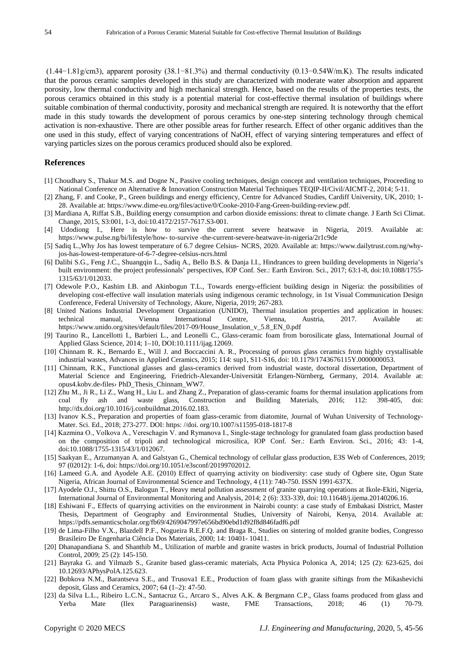(1.44−1.81g/cm3), apparent porosity (38.1−81.3%) and thermal conductivity (0.13−0.54W/m.K). The results indicated that the porous ceramic samples developed in this study are characterized with moderate water absorption and apparent porosity, low thermal conductivity and high mechanical strength. Hence, based on the results of the properties tests, the porous ceramics obtained in this study is a potential material for cost-effective thermal insulation of buildings where suitable combination of thermal conductivity, porosity and mechanical strength are required. It is noteworthy that the effort made in this study towards the development of porous ceramics by one-step sintering technology through chemical activation is non-exhaustive. There are other possible areas for further research. Effect of other organic additives than the one used in this study, effect of varying concentrations of NaOH, effect of varying sintering temperatures and effect of varying particles sizes on the porous ceramics produced should also be explored.

# **References**

- [1] Choudhary S., Thakur M.S. and Dogne N., Passive cooling techniques, design concept and ventilation techniques, Proceeding to National Conference on Alternative & Innovation Construction Material Techniques TEQIP-II/Civil/AICMT-2, 2014; 5-11.
- [2] Zhang, F. and Cooke, P., Green buildings and energy efficiency, Centre for Advanced Studies, Cardiff University, UK, 2010; 1- 28. Available at: https://www.dime-eu.org/files/active/0/Cooke-2010-Fang-Green-building-review.pdf.
- [3] Mardiana A, Riffat S.B., Building energy consumption and carbon dioxide emissions: threat to climate change. J Earth Sci Climat. Change, 2015, S3:001, 1-3, doi:10.4172/2157-7617.S3-001.
- [4] Udodiong I., Here is how to survive the current severe heatwave in Nigeria, 2019. Available at: https://www.pulse.ng/bi/lifestyle/how- to-survive -the-current-severe-heatwave-in-nigeria/2r1c9de
- [5] Sadiq L.,Why Jos has lowest temperature of 6.7 degree Celsius- NCRS, 2020. Available at: https://www.dailytrust.com.ng/whyjos-has-lowest-temperature-of-6-7-degree-celsius-ncrs.html
- [6] Dalibi S.G., Feng J.C., Shuangqin L., Sadiq A., Bello B.S. & Danja I.I., Hindrances to green building developments in Nigeria's built environment: the project professionals' perspectives, IOP Conf. Ser.: Earth Environ. Sci., 2017; 63:1-8, doi:10.1088/1755- 1315/63/1/012033.
- [7] Odewole P.O., Kashim I.B. and Akinbogun T.L., Towards energy-efficient building design in Nigeria: the possibilities of developing cost-effective wall insulation materials using indigenous ceramic technology, in 1st Visual Communication Design Conference, Federal University of Technology, Akure, Nigeria, 2019; 267-283.
- [8] United Nations Industrial Development Organization (UNIDO), Thermal insulation properties and application in houses: technical manual, Vienna International Centre, Vienna, Austria, 2017. Available at: https://www.unido.org/sites/default/files/2017-09/House\_Insulation\_v\_5.8\_EN\_0.pdf
- [9] Taurino R., Lancellotti I., Barbieri L., and Leonelli C., Glass-ceramic foam from borosilicate glass, International Journal of Applied Glass Science, 2014; 1–10, DOI:10.1111/ijag.12069.
- [10] Chinnam R. K., Bernardo E., Will J. and Boccaccini A. R., Processing of porous glass ceramics from highly crystallisable industrial wastes, Advances in Applied Ceramics, 2015; 114: sup1, S11-S16, doi: 10.1179/1743676115Y.0000000053.
- [11] Chinnam, R.K., Functional glasses and glass-ceramics derived from industrial waste, doctoral dissertation, Department of Material Science and Engineering, Friedrich-Alexander-Universität Erlangen-Nürnberg, Germany, 2014. Available at: opus4.kobv.de›files› PhD\_Thesis\_Chinnam\_WW7.
- [12] Zhu M., Ji R., Li Z., Wang H., Liu L. and Zhang Z., Preparation of glass-ceramic foams for thermal insulation applications from coal fly ash and waste glass, Construction and Building Materials, 2016; 112: 398-405, doi: http://dx.doi.org/10.1016/j.conbuildmat.2016.02.183.
- [13] Ivanov K.S., Preparation and properties of foam glass-ceramic from diatomite, Journal of Wuhan University of Technology-Mater. Sci. Ed., 2018; 273-277. DOI: https: //doi. org/10.1007/s11595-018-1817-8
- [14] Kazmina O., Volkova A., Veresсhagin V. and Rymanova I., Single-stage technology for granulated foam glass production based on the composition of tripoli and technological microsilica, IOP Conf. Ser.: Earth Environ. Sci., 2016; 43: 1-4, doi:10.1088/1755-1315/43/1/012067.
- [15] Saakyan E., Arzumanyan A. and Galstyan G., Chemical technology of cellular glass production, E3S Web of Conferences, 2019; 97 (02012): 1-6, doi: https://doi.org/10.1051/e3sconf/20199702012.
- [16] Lameed G.A. and Ayodele A.E. (2010) Effect of quarrying activity on biodiversity: case study of Ogbere site, Ogun State Nigeria, African Journal of Environmental Science and Technology, 4 (11): 740-750. ISSN 1991-637X.
- [17] Ayodele O.J., Shittu O.S., Balogun T., Heavy metal pollution assessment of granite quarrying operations at Ikole-Ekiti, Nigeria, International Journal of Environmental Monitoring and Analysis, 2014; 2 (6): 333-339, doi: 10.11648/j.ijema.20140206.16.
- [18] Eshiwani F., Effects of quarrying activities on the environment in Nairobi county: a case study of Embakasi District, Master Thesis, Department of Geography and Environmental Studies, University of Nairobi, Kenya, 2014. Available at: https://pdfs.semanticscholar.org/fb69/4269047997e656bd90ebd1d92f8d846fadf6.pdf
- [19] de Lima-Filho V.X., Blazdell P.F., Nogueira R.E.F.Q. and Braga R., Studies on sintering of molded granite bodies, Congresso Brasileiro De Engenharia Ciência Dos Materiais, 2000; 14: 10401- 10411.
- [20] Dhanapandiana S. and Shanthib M., Utilization of marble and granite wastes in brick products, Journal of Industrial Pollution Control, 2009; 25 (2): 145-150.
- [21] Bayraka G. and Yilmazb S., Granite based glass-ceramic materials, Acta Physica Polonica A, 2014; 125 (2): 623-625, doi 10.12693/APhysPolA.125.623.
- [22] Bobkova N.M., Barantseva S.E., and Trusova1 E.E., Production of foam glass with granite siftings from the Mikashevichi deposit, Glass and Ceramics, 2007; 64 (1–2): 47-50.
- [23] da Silva L.L., Ribeiro L.C.N., Santacruz G., Arcaro S., Alves A.K. & Bergmann C.P., Glass foams produced from glass and Yerba Mate (Ilex Paraguarinensis) waste, FME Transactions, 2018; 46 (1) 70-79.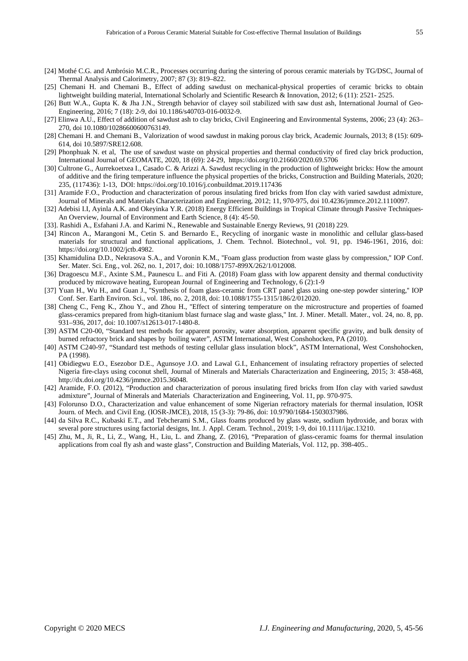- [24] Mothé C.G. and Ambrósio M.C.R., Processes occurring during the sintering of porous ceramic materials by TG/DSC, Journal of Thermal Analysis and Calorimetry, 2007; 87 (3): 819–822.
- [25] Chemani H. and Chemani B., Effect of adding sawdust on mechanical-physical properties of ceramic bricks to obtain lightweight building material, International Scholarly and Scientific Research & Innovation, 2012; 6 (11): 2521- 2525.
- [26] Butt W.A., Gupta K. & Jha J.N., Strength behavior of clayey soil stabilized with saw dust ash, International Journal of Geo-Engineering, 2016; 7 (18): 2-9, doi 10.1186/s40703-016-0032-9.
- [27] Elinwa A.U., Effect of addition of sawdust ash to clay bricks, Civil Engineering and Environmental Systems, 2006; 23 (4): 263– 270, doi 10.1080/10286600600763149.
- [28] Chemani H. and Chemani B., Valorization of wood sawdust in making porous clay brick, Academic Journals, 2013; 8 (15): 609- 614, doi 10.5897/SRE12.608.
- [29] Phonphuak N. et al, The use of sawdust waste on physical properties and thermal conductivity of fired clay brick production, International Journal of GEOMATE, 2020, 18 (69): 24-29, https://doi.org/10.21660/2020.69.5706
- [30] Cultrone G., Aurrekoetxea I., Casado C. & Arizzi A. Sawdust recycling in the production of lightweight bricks: How the amount of additive and the firing temperature influence the physical properties of the bricks, Construction and Building Materials, 2020; 235, (117436): 1-13, DOI: https://doi.org/10.1016/j.conbuildmat.2019.117436
- [31] Aramide F.O., Production and characterization of porous insulating fired bricks from Ifon clay with varied sawdust admixture, Journal of Minerals and Materials Characterization and Engineering, 2012; 11, 970-975, doi 10.4236/jmmce.2012.1110097.
- [32] Adebisi I.I, Ayinla A.K. and Okeyinka Y.R. (2018) Energy Efficient Buildings in Tropical Climate through Passive Techniques-An Overview, Journal of Environment and Earth Science, 8 (4): 45-50.
- [33]. Rashidi A., Esfahani J.A. and Karimi N., Renewable and Sustainable Energy Reviews, 91 (2018) 229.
- [34] Rincon A., Marangoni M., Cetin S. and Bernardo E., Recycling of inorganic waste in monolithic and cellular glass-based materials for structural and functional applications, J. Chem. Technol. Biotechnol., vol. 91, pp. 1946-1961, 2016, doi: https://doi.org/10.1002/jctb.4982.
- [35] Khamidulina D.D., Nekrasova S.A., and Voronin K.M., ''Foam glass production from waste glass by compression,'' IOP Conf. Ser. Mater. Sci. Eng., vol. 262, no. 1, 2017, doi: 10.1088/1757-899X/262/1/012008.
- [36] Dragoescu M.F., Axinte S.M., Paunescu L. and Fiti A. (2018) Foam glass with low apparent density and thermal conductivity produced by microwave heating, European Journal of Engineering and Technology, 6 (2):1-9
- [37] Yuan H., Wu H., and Guan J., ''Synthesis of foam glass-ceramic from CRT panel glass using one-step powder sintering,'' IOP Conf. Ser. Earth Environ. Sci., vol. 186, no. 2, 2018, doi: 10.1088/1755-1315/186/2/012020.
- [38] Cheng C., Feng K., Zhou Y., and Zhou H., "Effect of sintering temperature on the microstructure and properties of foamed glass-ceramics prepared from high-titanium blast furnace slag and waste glass,'' Int. J. Miner. Metall. Mater., vol. 24, no. 8, pp. 931–936, 2017, doi: 10.1007/s12613-017-1480-8.
- [39] ASTM C20-00, "Standard test methods for apparent porosity, water absorption, apparent specific gravity, and bulk density of burned refractory brick and shapes by boiling water", ASTM International, West Conshohocken, PA (2010).
- [40] ASTM C240-97, "Standard test methods of testing cellular glass insulation block", ASTM International, West Conshohocken, PA (1998).
- [41] Obidiegwu E.O., Esezobor D.E., Agunsoye J.O. and Lawal G.I., Enhancement of insulating refractory properties of selected Nigeria fire-clays using coconut shell, Journal of Minerals and Materials Characterization and Engineering, 2015; 3: 458-468, http://dx.doi.org/10.4236/jmmce.2015.36048.
- [42] Aramide, F.O. (2012), "Production and characterization of porous insulating fired bricks from Ifon clay with varied sawdust admixture", Journal of Minerals and Materials Characterization and Engineering, Vol. 11, pp. 970-975.
- [43] Folorunso D.O., Characterization and value enhancement of some Nigerian refractory materials for thermal insulation, IOSR Journ. of Mech. and Civil Eng. (IOSR-JMCE), 2018, 15 (3-3): 79-86, doi: 10.9790/1684-1503037986.
- [44] da Silva R.C., Kubaski E.T., and Tebcherami S.M., Glass foams produced by glass waste, sodium hydroxide, and borax with several pore structures using factorial designs, Int. J. Appl. Ceram. Technol., 2019; 1-9, doi 10.1111/ijac.13210.
- [45] Zhu, M., Ji, R., Li, Z., Wang, H., Liu, L. and Zhang, Z. (2016), "Preparation of glass-ceramic foams for thermal insulation applications from coal fly ash and waste glass", Construction and Building Materials, Vol. 112, pp. 398-405..